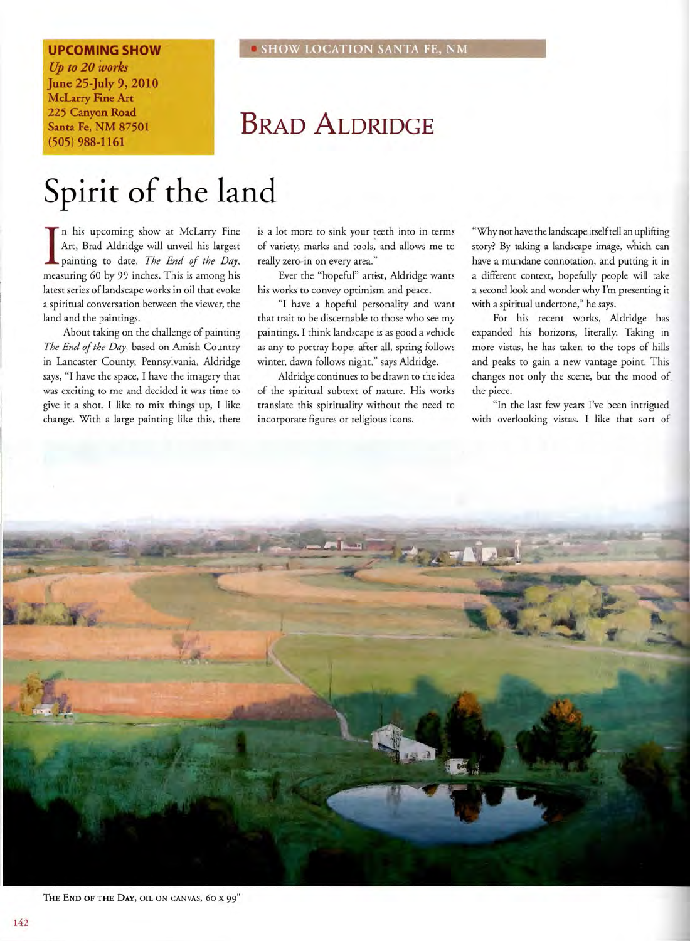## **UPCOMING SHOW**

Up *to* 20 *works*  June 25-July 9, 2010 McLarry Fine Art 225 Canyon Road Santa Fe, NM 87501 (505) 988-1161

## **• SHOW LOCATION SANTA FE, NM**

## BRAD ALDRIDGE

## **Spirit of the land**

In his upcoming show at McLarry Fine<br>Art, Brad Aldridge will unveil his largest<br>painting to date, *The End of the Day*, Art, Brad Aldridge will unveil his largest painting to date, *The End of the Day,*  measuring 60 by 99 inches. This is among his latest series oflandscape works in oil that evoke a spiritual conversation between the viewer, the land and the paintings.

About taking on the challenge of painting *The End of the Day,* based on Amish Country in Lancaster County, Pennsylvania, Aldridge says, "I have the space, I have the imagery that was exciting to me and decided it was time to give it a shot. I like to mix things up, I like change. With a large painting like this, there is a lot more to sink your teeth into in terms of variety, marks and tools, and allows me to really zero-in on every area."

Ever the "hopeful" artist, Aldridge wants his works to convey optimism and peace.

"I have a hopeful personality and want that trait to be discernable to those who see my paintings. I think landscape is as good a vehicle as any to portray hope; after all, spring follows winter, dawn follows night," says Aldridge.

Aldridge continues to be drawn to the idea of the spiritual subtext of nature. His works translate this spirituality without the need to incorporate figures or religious icons.

"Why not have the landscape itself tell an uplifting story? By taking a landscape image, which can have a mundane connotation, and putting it in a different context, hopefully people will take a second look and wonder why I'm presenting it with a spiritual undertone," he says.

For his recent works, Aldridge has expanded his horizons, literally. Taking in more vistas, he has taken to the tops of hills and peaks to gain a new vantage point. This changes not only the scene, but the mood of the piece.

"In the last few years I've been intrigued with overlooking vistas. I like that sort of



THE END OF THE DAY, OIL ON CANVAS, 60 X 99"